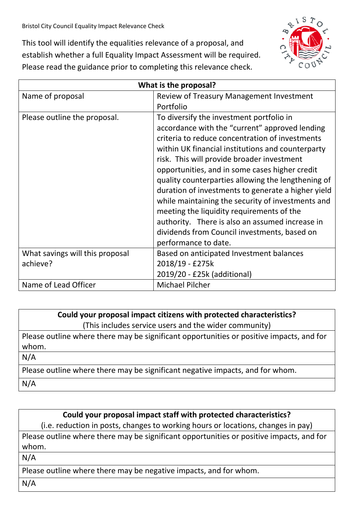This tool will identify the equalities relevance of a proposal, and establish whether a full Equality Impact Assessment will be required. Please read the guidance prior to completing this relevance check.



| What is the proposal?           |                                                                                                                                                                                                                                                                                                                                                                                                                                                                                                                                                                                                                                             |
|---------------------------------|---------------------------------------------------------------------------------------------------------------------------------------------------------------------------------------------------------------------------------------------------------------------------------------------------------------------------------------------------------------------------------------------------------------------------------------------------------------------------------------------------------------------------------------------------------------------------------------------------------------------------------------------|
| Name of proposal                | Review of Treasury Management Investment                                                                                                                                                                                                                                                                                                                                                                                                                                                                                                                                                                                                    |
|                                 | Portfolio                                                                                                                                                                                                                                                                                                                                                                                                                                                                                                                                                                                                                                   |
| Please outline the proposal.    | To diversify the investment portfolio in<br>accordance with the "current" approved lending<br>criteria to reduce concentration of investments<br>within UK financial institutions and counterparty<br>risk. This will provide broader investment<br>opportunities, and in some cases higher credit<br>quality counterparties allowing the lengthening of<br>duration of investments to generate a higher yield<br>while maintaining the security of investments and<br>meeting the liquidity requirements of the<br>authority. There is also an assumed increase in<br>dividends from Council investments, based on<br>performance to date. |
| What savings will this proposal | Based on anticipated Investment balances                                                                                                                                                                                                                                                                                                                                                                                                                                                                                                                                                                                                    |
| achieve?                        | 2018/19 - £275k                                                                                                                                                                                                                                                                                                                                                                                                                                                                                                                                                                                                                             |
|                                 | 2019/20 - £25k (additional)                                                                                                                                                                                                                                                                                                                                                                                                                                                                                                                                                                                                                 |
| Name of Lead Officer            | <b>Michael Pilcher</b>                                                                                                                                                                                                                                                                                                                                                                                                                                                                                                                                                                                                                      |

## **Could your proposal impact citizens with protected characteristics?**

(This includes service users and the wider community)

Please outline where there may be significant opportunities or positive impacts, and for whom.

N/A

Please outline where there may be significant negative impacts, and for whom.

N/A

## **Could your proposal impact staff with protected characteristics?**

(i.e. reduction in posts, changes to working hours or locations, changes in pay)

Please outline where there may be significant opportunities or positive impacts, and for whom.

N/A

Please outline where there may be negative impacts, and for whom.

N/A